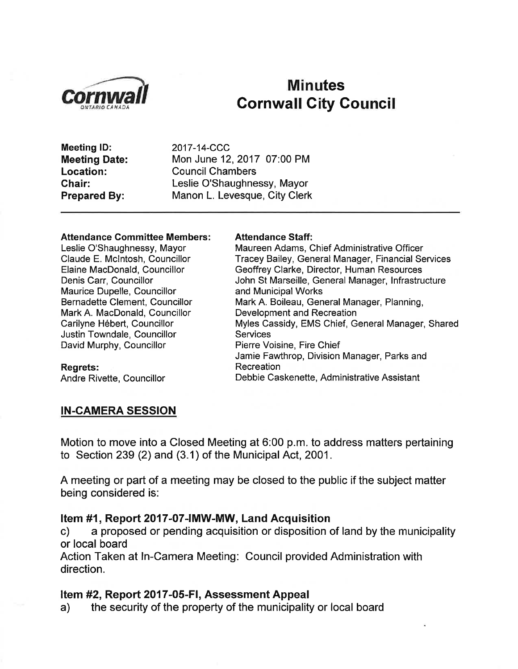

# **Minutes Cornwall City Council**

Meeting lD: Meeting Date: Location: Ghair: Prepared By:

2017-14-CCC Mon June 12,2017 07:00 PM Council Chambers Leslie O'Shaughnessy, Mayor Manon L. Levesque, City Clerk

#### Attendance Gommittee Members:

Leslie O'Shaughnessy, Mayor Claude E. Mclntosh, Councillor Elaine MacDonald, Councillor Denis Carr, Councillor Maurice Dupelle, Councillor Bernadette Clement, Councillor Mark A. MacDonald, Councillor Carilyne Hébert, Councillor Justin Towndale, Councillor David Murphy, Councillor

#### Attendance Staff:

Maureen Adams, Chief Administrative Officer Tracey Bailey, General Manager, Financial Services Geoffrey Clarke, Director, Human Resources John St Marseille, General Manager, lnfrastructure and Municipal Works Mark A. Boileau, General Manager, Planning, Development and Recreation Myles Cassidy, EMS Chief, General Manager, Shared Services Pierre Voisine, Fire Chief Jamie Fawthrop, Division Manager, Parks and Recreation Debbie Caskenette, Administrative Assistant

# Regrets:

Andre Rivette, Councillor

#### IN.CAMERA SESSION

Motion to move into a Closed Meeting at 6:00 p.m. to address matters pertaining to Section 239 (2) and (3.1) of the Municipal Act, 2001.

A meeting or part of a meeting may be closed to the public if the subject matter being considered is:

Item #1, Report 2017-07-IMW-MW, Land Acquisition<br>c) a proposed or pending acquisition or disposition of land by the municipality or local board

Action Taken at ln-Camera Meeting: Council provided Administration with direction.

Item #2, Report 2017-05-FI, Assessment Appeal a) the security of the property of the municipality or local board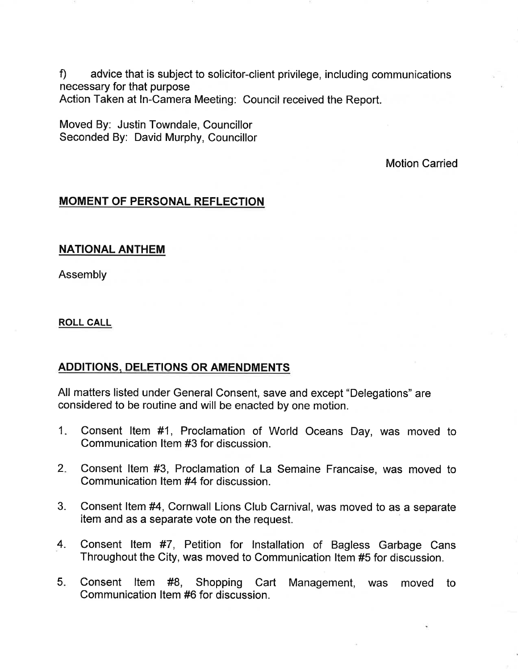f) advice that is subject to solicitor-client privilege, including communications necessary for that purpose Action Taken at ln-Camera Meeting: Council received the Report.

Moved By: Justin Towndale, Councillor Seconded By: David Murphy, Councillor

Motion Carried

## MOMENT OF PERSONAL REFLECTION

## NATIONAL ANTHEM

Assembly

ROLL CALL

## **ADDITIONS, DELETIONS OR AMENDMENTS**

All matters listed under General Consent, save and except "Delegations" are considered to be routine and will be enacted by one motion.

- Consent ltem #1, Proclamation of World Oceans Day, was moved to Communication ltem #3 for discussion. 1
- Consent ltem #3, Proclamation of La Semaine Francaise, was moved to Communication ltem #4 for discussion. 2.
- 3. Consent ltem #4, Cornwall Lions Club Carnival, was moved to as a separate item and as a separate vote on the request.
- 4. Consent ltem #7, Petition for lnstallation of Bagless Garbage Cans Throughout the City, was moved to Communication ltem #5 for discussion.
- Consent ltem #8, Shopping Cart Management, was moved to Communication ltem #6 for discussion. 5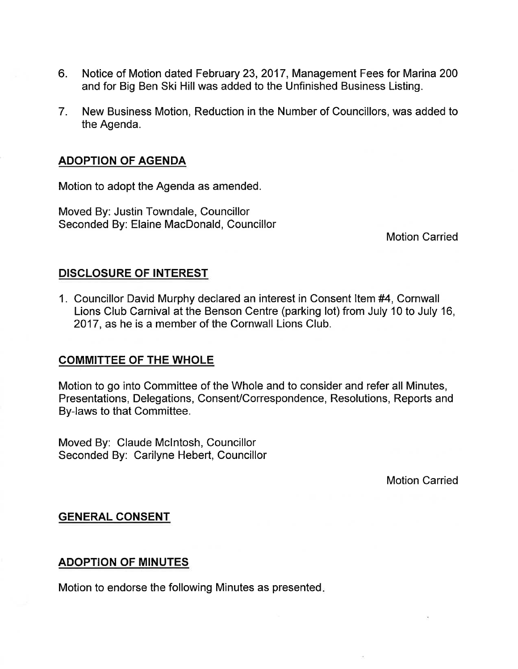- 6. Notice of Motion dated February 23,2017, Management Fees for Marina 200 and for Big Ben Ski Hill was added to the Unfinished Business Listing.
- 7. New Business Motion, Reduction in the Number of Councillors, was added to the Agenda.

## ADOPTION OF AGENDA

Motion to adopt the Agenda as amended.

Moved By: Justin Towndale, Councillor Seconded By: Elaine MacDonald, Councillor

Motion Carried

## DISCLOSURE OF INTEREST

1. Councillor David Murphy declared an interest in Consent ltem #4, Cornwall Lions Club Carnival at the Benson Centre (parking lot) from July 10 to July 16, 2017, as he is a member of the Cornwall Lions Club.

## COMMITTEE OF THE WHOLE

Motion to go into Committee of the Whole and to consider and refer all Minutes, Presentations, Delegations, ConsenVCorrespondence, Resolutions, Reports and By-laws to that Committee.

Moved By: Claude Mclntosh, Councillor Seconded By: Carilyne Hebert, Councillor

Motion Carried

## GENERAL CONSENT

## ADOPTION OF MINUTES

Motion to endorse the following Minutes as presented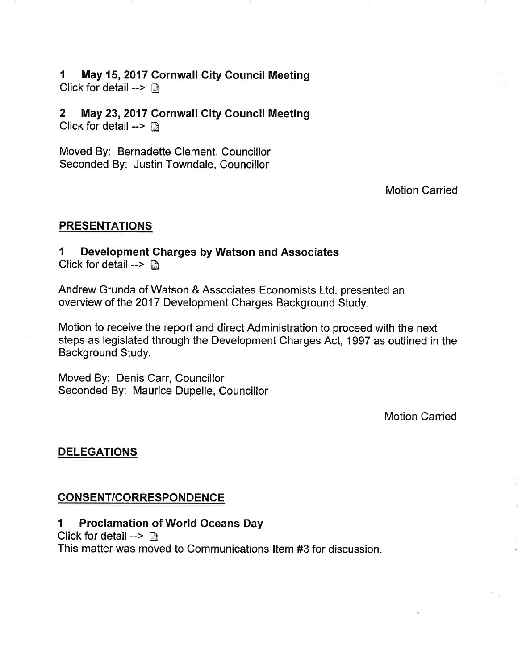#### 1 May 15, 2017 Cornwall City Council Meeting Click for detail -->  $\Box$

2 May 23,2017 Cornwall City Council Meeting Click for detail  $\rightarrow$  the

Moved By: Bernadette Clement, Councillor Seconded By: Justin Towndale, Councillor

Motion Carried

## PRESENTATIONS

## I Development Charges by Watson and Associates

Click for detail  $\rightarrow \Box$ 

Andrew Grunda of Watson & Associates Economists Ltd. presented an overview of the 2017 Development Charges Background Study.

Motion to receive the report and direct Administration to proceed with the next steps as legislated through the Development Charges Act, 1997 as outlined in the Background Study.

Moved By: Denis Carr, Councillor Seconded By: Maurice Dupelle, Councillor

Motion Carried

## DELEGATIONS

## CONSENT/CORRESPONDENCE

## I Proclamation of World Oceans Day

Click for detail -->  $\mathbb{D}$ 

This matter was moved to Communications ltem #3 for discussion.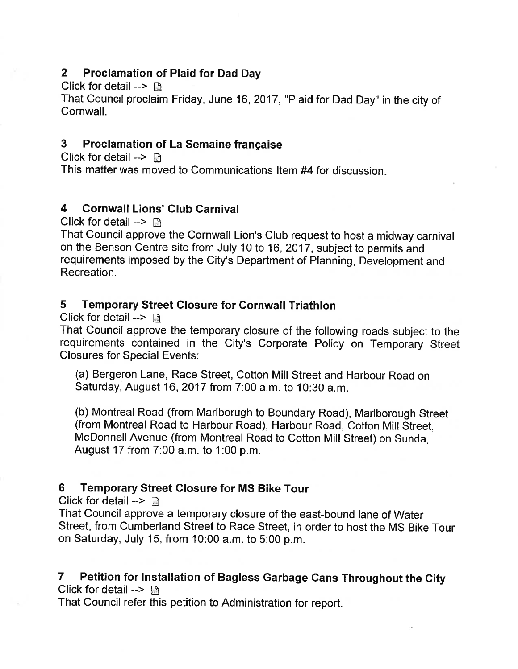## 2 Proclamation of Plaid for Dad Day

Click for detail  $\rightarrow \mathbb{R}$ 

That Council proclaim Friday, June 16,2017, "Plaid for Dad Day" in the city of Cornwall.

## 3 Proclamation of La Semaine française

Click for detail  $\rightarrow \mathbb{R}$ This matter was moved to Communications Item #4 for discussion.

# 4 Gornwall Lions' Glub Garnival

Click for detail -->  $\mathbb{R}$ 

That Council approve the Cornwall Lion's Club request to host a midway carnival on the Benson Centre site from July 10 to 16, 2017, subject to permits and requirements imposed by the City's Department of Planning, Development and Recreation.

## 5 Temporary Street Glosure for Cornwall Triathlon

Click for detail  $\rightarrow$   $\mathbb{R}$ 

That Council approve the temporary closure of the following roads subject to the requirements contained in the City's Corporate Policy on Temporary Street Closures for Special Events:

(a) Bergeron Lane, Race Street, Cotton Mill Street and Harbour Road on Saturday, August 16,2017 from 7:00 a.m. to 10:30 a.m.

(b) Montreal Road (from Marlborugh to Boundary Road), Marlborough Street (from Montreal Road to Harbour Road), Harbour Road, Cotton Mill Street, McDonnell Avenue (from Montreal Road to Cotton Mill Street) on Sunda, August 17 from 7:00 a.m. to 1:00 p.m.

## 6 Temporary Street Glosure for MS Bike Tour

Click for detail  $\rightarrow \mathbb{B}$ 

That Council approve a temporary closure of the east-bound lane of Water Street, from Cumberland Street to Race Street, in order to host the MS Bike Tour on Saturday, July 15, from 10:00 a.m. to 5:00 p.m.

#### 7 Petition for lnstallation of Bagless Garbage Cans Throughout the City Click for detail -->  $\Box$

That Council refer this petition to Administration for report.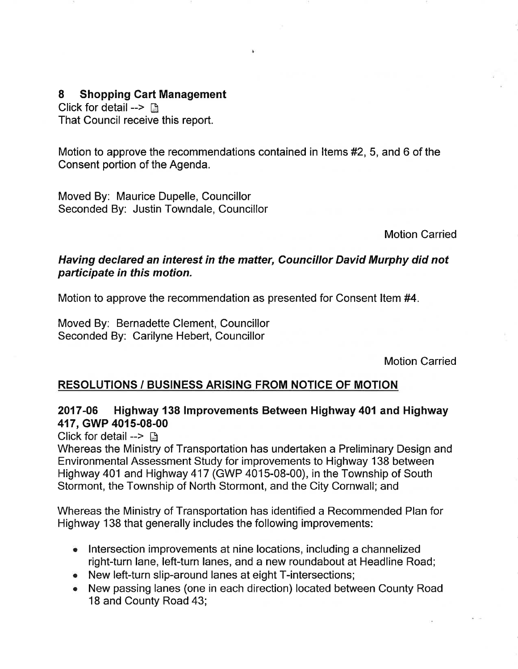## 8 Shopping Cart Management

Click for detail -->  $\Box$ That Council receive this report.

Motion to approve the recommendations contained in ltems #2, 5, and 6 of the Consent portion of the Agenda.

Moved By: Maurice Dupelle, Councillor Seconded By: Justin Towndale, Councillor

Motion Carried

## Having declared an interest in the matter, Councillor David Murphy did not participate in this motion.

Motion to approve the recommendation as presented for Consent ltem #4.

Moved By: Bernadette Clement, Councillor Seconded By: Carilyne Hebert, Councillor

Motion Carried

## RESOLUTIONS / BUSINESS ARISING FROM NOTICE OF MOTION

## 2017-06 Highway 138 lmprovements Between Highway 401and Highway 417, GWP 4015-08-00

Click for detail  $\rightarrow \Box$ 

Whereas the Ministry of Transportation has undertaken a Preliminary Design and Environmental Assessment Study for improvements to Highway 138 between Highway 401 and Highway 417 (GWP 4015-08-00), in the Township of South Stormont, the Township of North Stormont, and the City Cornwall; and

Whereas the Ministry of Transportation has identified a Recommended Plan for Highway 138 that generally includes the following improvements:

- Intersection improvements at nine locations, including a channelized right-turn Iane, left-turn lanes, and a new roundabout at Headline Road;
- . New left-turn slip-around lanes at eight T-intersections;
- . New passing lanes (one in each direction) located between County Road 18 and County Road 43;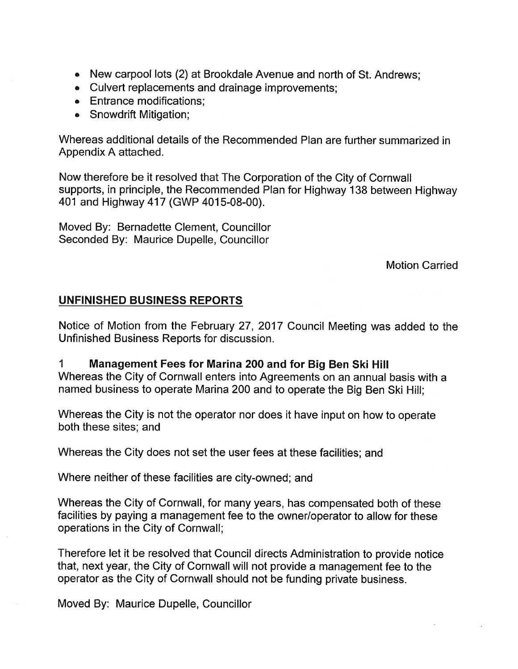- o New carpool lots (2) at Brookdale Avenue and north of St. Andrews;
- . Culvert replacements and drainage improvements;
- Entrance modifications;
- Snowdrift Mitigation;

Whereas additional details of the Recommended Plan are further summarized in Appendix A attached.

Now therefore be it resolved that The Corporation of the City of Cornwall supports, in principle, the Recommended Plan for Highway 138 between Highway 401 and Highway 417 (GWP 4015-08-00).

Moved By: Bernadette Clement, Councillor Seconded By: Maurice Dupelle, Councillor

Motion Carried

## UNFINISHED BUSINESS REPORTS

Notice of Motion from the February 27,2017 Council Meeting was added to the Unfinished Business Reports for discussion.

## 1 Management Fees for Marina 200 and for Big Ben Ski Hill

Whereas the City of Cornwall enters into Agreements on an annual basis with a named busíness to operate Marina 200 and to operate the Big Ben Ski Hill;

Whereas the City is not the operator nor does it have input on how to operate both these sites; and

Whereas the City does not set the user fees at these facilities; and

Where neither of these facilities are city-owned; and

Whereas the City of Cornwall, for many years, has compensated both of these facilities by paying a management fee to the owner/operator to allow for these operations in the City of Cornwall;

Therefore let it be resolved that Council directs Administration to provide notice that, next year, the City of Cornwall will not provide a management fee to the operator as the City of Cornwall should not be funding private business.

Moved By: Maurice Dupelle, Councillor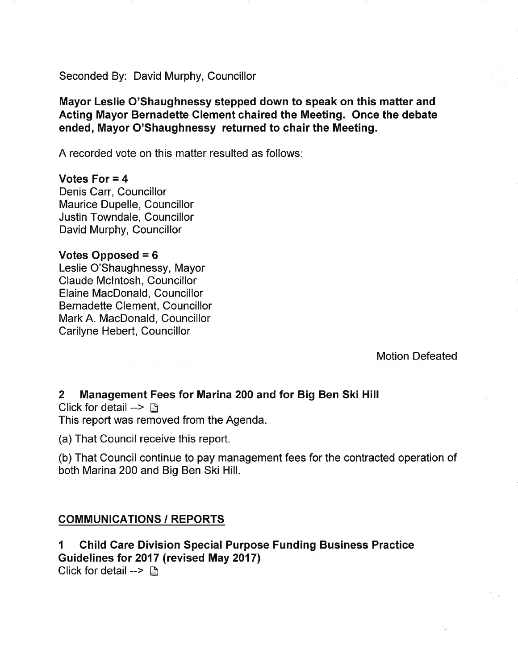Seconded By: David Murphy, Councillor

Mayor Leslie O'Shaughnessy stepped down to speak on this matter and Acting Mayor Bernadette Clement chaired the Meeting. Once the debate ended, Mayor O'Shaughnessy returned to chair the Meeting.

A recorded vote on this matter resulted as follows

#### Votes For  $= 4$

Denis Carr, Councillor Maurice Dupelle, Councillor Justin Towndale, Councillor David Murphy, Councillor

#### Votes Opposed = 6

Leslie O'Shaughnessy, Mayor Claude Mclntosh, Councillor Elaine MacDonald, Councillor Bernadette Clement, Councillor Mark A. MacDonald, Councillor Carilyne Hebert, Councillor

Motion Defeated

## 2 Management Fees for Marina 200 and for Big Ben Ski Hill

Click for detail  $\rightarrow$ This report was removed from the Agenda.

(a) That Council receive this report.

(b) That Council continue to pay management fees for the contracted operation of both Marina200 and Big Ben Ski Hill.

## COMMUNICATIONS / REPORTS

1 Child Care Division Special Purpose Funding Business Practice Guidelines for 2017 (revised May 2017) Click for detail -->  $\mathbb{R}$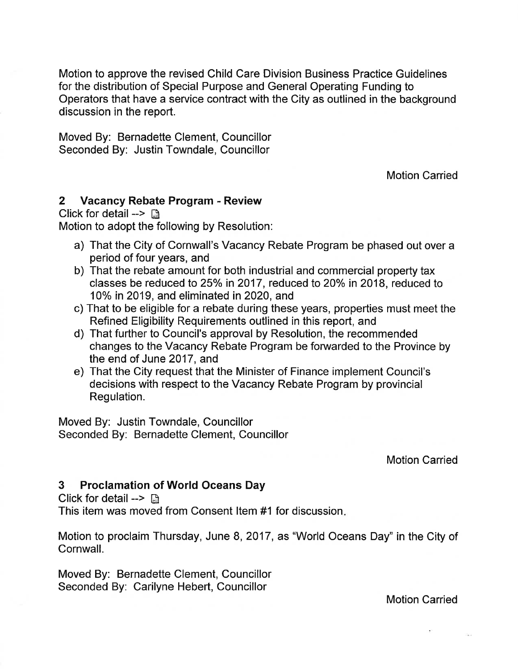Motion to approve the revised Child Care Division Business Practice Guidelines for the distribution of Special Purpose and General Operating Funding to Operators that have a service contract with the City as outlined in the background discussion in the report.

Moved By: Bernadette Clement, Councillor Seconded By: Justin Towndale, Councillor

Motion Carried

## 2 Vacancy Rebate Program - Review

Click for detail  $\rightarrow$  R

Motion to adopt the following by Resolution:

- a) That the City of Cornwall's Vacancy Rebate Program be phased out over a period of four years, and
- b) That the rebate amount for both industrial and commercial property tax classes be reduced to 25% in 2017, reduced to 20% in 2018, reduced to 10%in2019, and eliminated in 2020, and
- c) That to be eligible for a rebate during these years, properties must meet the Refined Eligibility Requirements outlined in this report, and
- d) That further to Council's approval by Resolution, the recommended changes to the Vacancy Rebate Program be forwarded to the Province by the end of June 2017, and
- e) That the City request that the Minister of Finance implement Council's decisions with respect to the Vacancy Rebate Program by provincial Regulation.

Moved By: Justin Towndale, Councillor Seconded By: Bernadette Clement, Councillor

Motion Carried

## 3 Proclamation of World Oceans Day

Click for detail  $\rightarrow \Box$ 

This item was moved from Consent ltem #1 for discussion

Motion to proclaim Thursday, June 8, 2017, as "World Oceans Day" in the City of Cornwall.

Moved By: Bernadette Clement, Councillor Seconded By: Carilyne Hebert, Councillor

Motion Carried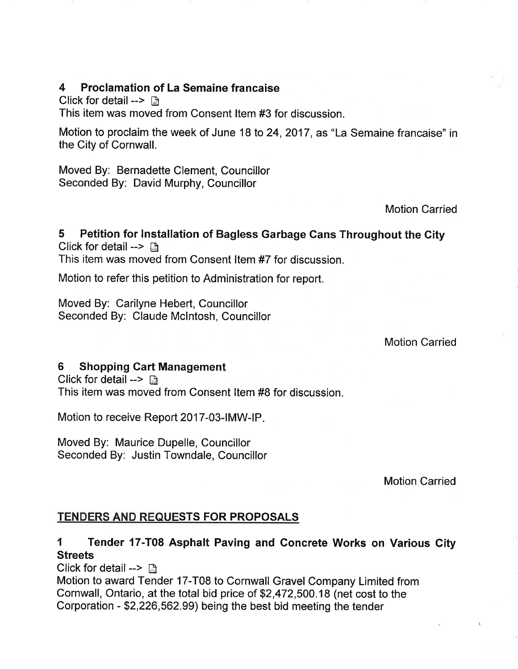## 4 Proclamation of La Semaine francaise

Click for detail --> Ë

This item was moved from Consent ltem #3 for discussion.

Motion to proclaim the week of June 18 to 24, 2017, as "La Semaine francaise" in the City of Cornwall.

Moved By: Bernadette Clement, Councillor Seconded By: David Murphy, Councillor

Motion Carried

#### 5 Petition for lnstallation of Bagless Garbage Cans Throughout the Gity Click for detail  $\rightarrow$  a

This item was moved from Consent ltem #7 for discussion.

Motion to refer this petition to Administration for report.

Moved By: Carilyne Hebert, Councillor Seconded By: Claude Mclntosh, Councillor

Motion Carried

## 6 Shopping Cart Management

Click for detail  $\rightarrow \mathbb{R}$ This item was moved from Consent ltem #8 for discussion.

Motion to receive Report 2017-03-IMW-IP.

Moved By: Maurice Dupelle, Councillor Seconded By: Justin Towndale, Councillor

Motion Carried

## TENDERS AND REQUESTS FOR PROPOSALS

# I Tender 17-T08 Asphalt Paving and Goncrete Works on Various City **Streets**

Click for detail -->  $\Box$ 

Motion to award Tender 17-T08 to Cornwall Gravel Company Limited from Cornwall, Ontario, at the total bid price of \$2,472,500.18 (net cost to the Corporation - \$2,226,562.99) being the best bid meeting the tender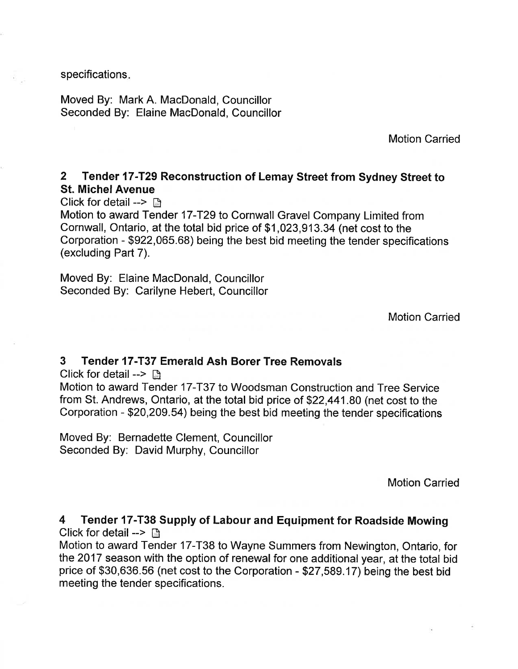specifications

Moved By: Mark A. MacDonald, Councillor Seconded By: Elaine MacDonald, Councillor

Motion Carried

#### 2 Tender 17-T29 Reconstruction of Lemay Street from Sydney Street to St. Michel Avenue

Click for detail  $\rightarrow \Box$ 

Motion to award Tender 17-T29 to Cornwall Gravel Company Limited from Cornwall, Ontario, at the total bid price of \$1 ,023,913.34 (net cost to the Corporation - \$922,065.68) being the best bid meeting the tender specifications (excluding Part 7).

Moved By: Elaine MacDonald, Councillor Seconded By: Carilyne Hebert, Councillor

Motion Carried

#### 3 Tender 17-T37 Emerald Ash Borer Tree Removals

Click for detail -->  $\Box$ 

Motion to award Tender 17-T37 to Woodsman Construction and Tree Service from St. Andrews, Ontario, at the total bid price of \$22,441.80 (net cost to the Corporation - \$20,209.54) being the best bid meeting the tender specifications

Moved By: Bernadette Clement, Councillor Seconded By: David Murphy, Councillor

Motion Carried

4 Tender 17-T38 Supply of Labour and Equipment for Roadside Mowing Click for detail  $\rightarrow$  n

Motion to award Tender 17-T38 to Wayne Summers from Newington, Ontario, for the 2017 season with the option of renewal for one additional year, at the total bid price of \$30,636.56 (net cost to the Corporation - \$27,589.17) being the best bid meeting the tender specifications.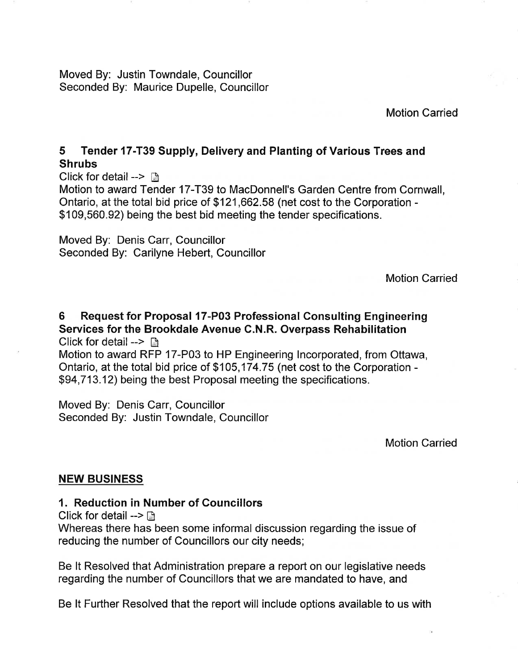Moved By: Justin Towndale, Councillor Seconded By: Maurice Dupelle, Councillor

Motion Carried

## 5 Tender 17-T39 Supply, Delivery and Planting of Various Trees and Shrubs

Click for detail  $\rightarrow \Box$ 

Motion to award Tender 17-T39 to MacDonnell's Garden Centre from Cornwall, Ontario, at the total bid price of \$121,662.58 (net cost to the Corporation - \$109,560.92) being the best bid meeting the tender specifications.

Moved By: Denis Carr, Councillor Seconded By: Carilyne Hebert, Councillor

Motíon Carried

6 Request for Proposal l7-P03 Professional Consulting Engineering Services for the Brookdale Avenue C.N.R, Overpass Rehabilitation Click for detail  $\rightarrow$   $\mathbb{R}$ 

Motion to award RFP 17-P03 to HP Engineering lncorporated, from Ottawa, Ontario, at the total bid price of \$105,174.75 (net cost to the Corporation - \$94,713.12) being the best Proposal meeting the specifications.

Moved By: Denis Carr, Councillor Seconded By: Justin Towndale, Councillor

Motion Carried

## NEW BUSINESS

## 1. Reduction in Number of Gouncillors

Click for detail  $\rightarrow$   $\Box$ 

Whereas there has been some informal discussion regarding the issue of reducing the number of Councillors our city needs;

Be lt Resolved that Administration prepare a report on our legislative needs regarding the number of Councillors that we are mandated to have, and

Be lt Further Resolved that the report will include options available to us with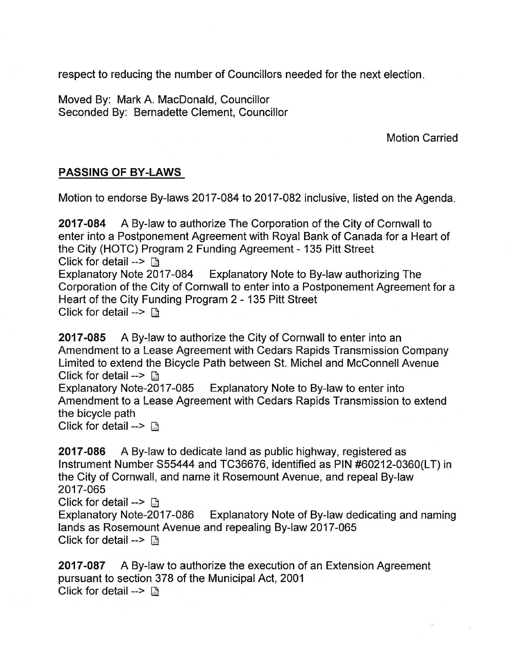respect to reducing the number of Councillors needed for the next election

Moved By: Mark A. MacDonald, Councillor Seconded By: Bernadette Clement, Councillor

Motion Carried

## PASSING OF BY.LAWS

Motion to endorse By-laws 2017-084 to 2017-082 inclusive, listed on the Agenda

2017-084 A By-law to authorize The Corporation of the City of Cornwall to enter into a Postponement Agreement with Royal Bank of Canada for a Heart of the City (HOTC) Program 2 Funding Agreement - 135 Pitt Street Click for detail -->  $\Box$ <br>Explanatory Note 2017-084 Explanatory Note to By-law authorizing The Corporation of the City of Cornwall to enter into a Postponement Agreement for a Heart of the City Funding Program 2 - 135 Pitt Street Click for detail  $\triangleright$   $\mathbb{R}$ 

2017-085 A By-law to authorize the City of Cornwall to enter into an Amendment to a Lease Agreement with Cedars Rapids Transmission Company Limited to extend the Bicycle Path between St. Miche! and McConnell Avenue Click for detail --> **D**<br>Explanatory Note-2017-085 Explanatory Note to By-law to enter into Amendment to a Lease Agreement with Cedars Rapids Transmission to extend the bicycle path

Click for detail -->  $\Box$ 

2017-086 A By-law to dedicate land as public highway, registered as lnstrument Number 555444 and TC36676, identified as PIN #60212-0360(LT) in the City of Cornwall, and name it Rosemount Avenue, and repeal By-law 2017-065

Click for detail --> **a**<br>Explanatory Note-2017-086 Explanatory Note of By-law dedicating and naming lands as Rosemount Avenue and repealing By-law 2017-065 Click for detail -->  $\mathbb{R}$ 

2017-087 A By-law to authorize the execution of an Extension Agreement pursuant to section 378 of the Municipal Act, 2001 Click for detail  $\rightarrow$   $\mathbb{R}$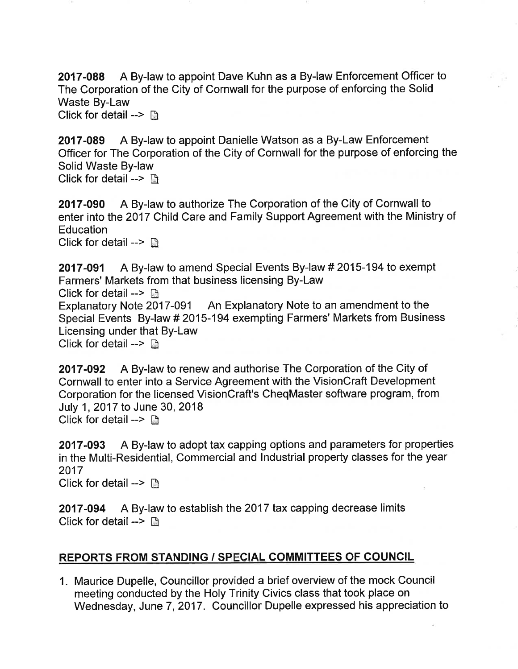2017-088 A By-law to appoint Dave Kuhn as a By-law Enforcement Officer to The Corporation of the City of Cornwall for the purpose of enforcing the Solid Waste By-Law

Click for detail  $\rightarrow$  n

2017-089 A By-law to appoint Danielle Watson as a By-Law Enforcement Officer for The Corporation of the City of Cornwall for the purpose of enforcing the Solid Waste By-law Click for detail -->  $\Box$ 

2017-090 A By-law to authorize The Corporation of the City of Cornwall to enter into the 2017 Child Care and Family Support Agreement with the Ministry of **Education** Click for detail -->  $\mathbb{R}$ 

2017-091 A By-law to amend Special Events By-law #2015-194 to exempt Farmers' Markets from that business licensing By-Law Click for detail -->  $\Box$ Explanatory Note 2017-091 An Explanatory Note to an amendment to the Special Events By-law # 2015-194 exempting Farmers' Markets from Business Licensing under that By-Law Click for detail  $\rightarrow$  the

2017-092 A By-law to renew and authorise The Corporation of the City of Cornwall to enter into a Service Agreement with the VisionCraft Development Corporation for the licensed VisionCraft's CheqMaster software program, from July 1, 2017 to June 30, 2018 Click for detail --> **B** 

2017-093 A By-law to adopt tax capping options and parameters for properties in the Multi-Residential, Commercial and Industrial property classes for the year 2017 Click for detail  $\rightarrow \Box$ 

2017-094 A By-law to establish the 2017 tax capping decrease limits Click for detail  $\rightarrow \Box$ 

## REPORTS FROM STANDING / SPECIAL COMMITTEES OF COUNCIL

1. Maurice Dupelle, Councillor provided a brief overview of the mock Council meeting conducted by the Holy Trinity Civics class that took place on Wednesday, June 7,2017. Councillor Dupelle expressed his appreciation to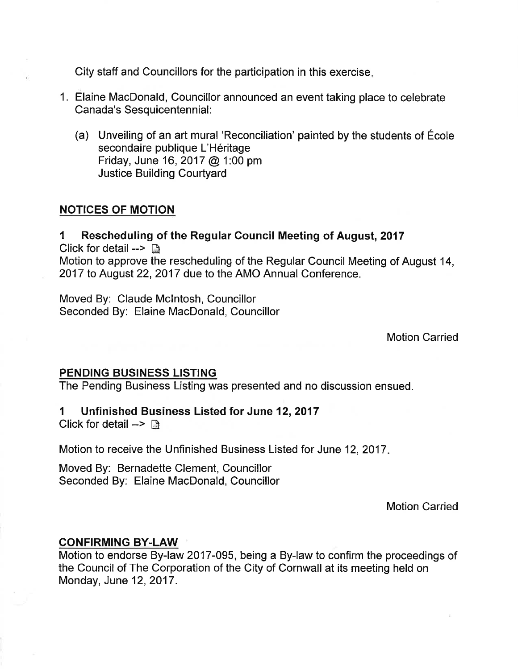City staff and Councillors for the participation in this exercise

- 1. Elaine MacDonald, Councillor announced an event taking place to celebrate Canada's Sesquicentennial:
	- (a) Unveiling of an art mural 'Reconciliation' painted by the students of École secondaire publique L'Héritage Friday, June 16,2017 @ 1:00 pm Justice Building Courtyard

#### NOTICES OF MOTION

1 Rescheduling of the Regular Council Meeting of August,2017 Click for detail  $\rightarrow \mathbb{R}$ Motion to approve the rescheduling of the Regular Council Meeting of August 14, 2017 to August 22, 2017 due to the AMO Annual Conference.

Moved By: Claude Mclntosh, Councillor Seconded By: Elaine MacDonald, Councillor

Motion Carried

## PENDING BUSINESS LISTING

The Pending Business Listing was presented and no discussion ensued.

#### 1 Unfinished Business Listed for June 12,2017

Click for detail --> ß

Motion to receive the Unfinished Business Listed for June 12,2017

Moved By: Bernadette Clement, Councillor Seconded By. Elaine MacDonald, Councillor

Motion Carried

#### CONFIRMING BY-LAW

Motion to endorse By-law 2017-095, being a By-law to confirm the proceedings of the Council of The Corporation of the City of Cornwall at its meeting held on Monday, June 12,2017.